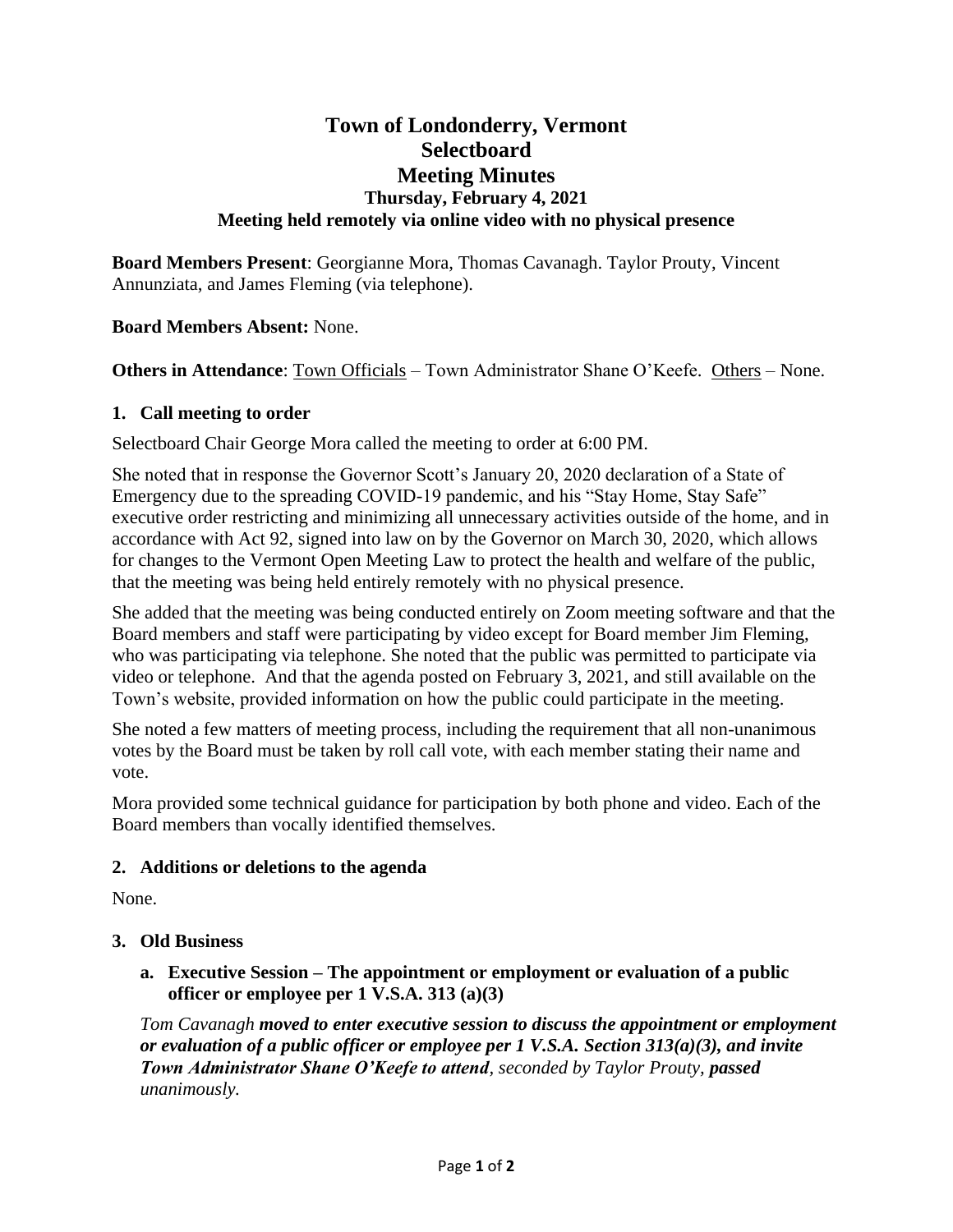# **Town of Londonderry, Vermont Selectboard Meeting Minutes Thursday, February 4, 2021 Meeting held remotely via online video with no physical presence**

**Board Members Present**: Georgianne Mora, Thomas Cavanagh. Taylor Prouty, Vincent Annunziata, and James Fleming (via telephone).

**Board Members Absent:** None.

**Others in Attendance**: Town Officials – Town Administrator Shane O'Keefe. Others – None.

### **1. Call meeting to order**

Selectboard Chair George Mora called the meeting to order at 6:00 PM.

She noted that in response the Governor Scott's January 20, 2020 declaration of a State of Emergency due to the spreading COVID-19 pandemic, and his "Stay Home, Stay Safe" executive order restricting and minimizing all unnecessary activities outside of the home, and in accordance with Act 92, signed into law on by the Governor on March 30, 2020, which allows for changes to the Vermont Open Meeting Law to protect the health and welfare of the public, that the meeting was being held entirely remotely with no physical presence.

She added that the meeting was being conducted entirely on Zoom meeting software and that the Board members and staff were participating by video except for Board member Jim Fleming, who was participating via telephone. She noted that the public was permitted to participate via video or telephone. And that the agenda posted on February 3, 2021, and still available on the Town's website, provided information on how the public could participate in the meeting.

She noted a few matters of meeting process, including the requirement that all non-unanimous votes by the Board must be taken by roll call vote, with each member stating their name and vote.

Mora provided some technical guidance for participation by both phone and video. Each of the Board members than vocally identified themselves.

### **2. Additions or deletions to the agenda**

None.

### **3. Old Business**

**a. Executive Session – The appointment or employment or evaluation of a public officer or employee per 1 V.S.A. 313 (a)(3)**

*Tom Cavanagh moved to enter executive session to discuss the appointment or employment or evaluation of a public officer or employee per 1 V.S.A. Section 313(a)(3), and invite Town Administrator Shane O'Keefe to attend, seconded by Taylor Prouty, passed unanimously.*